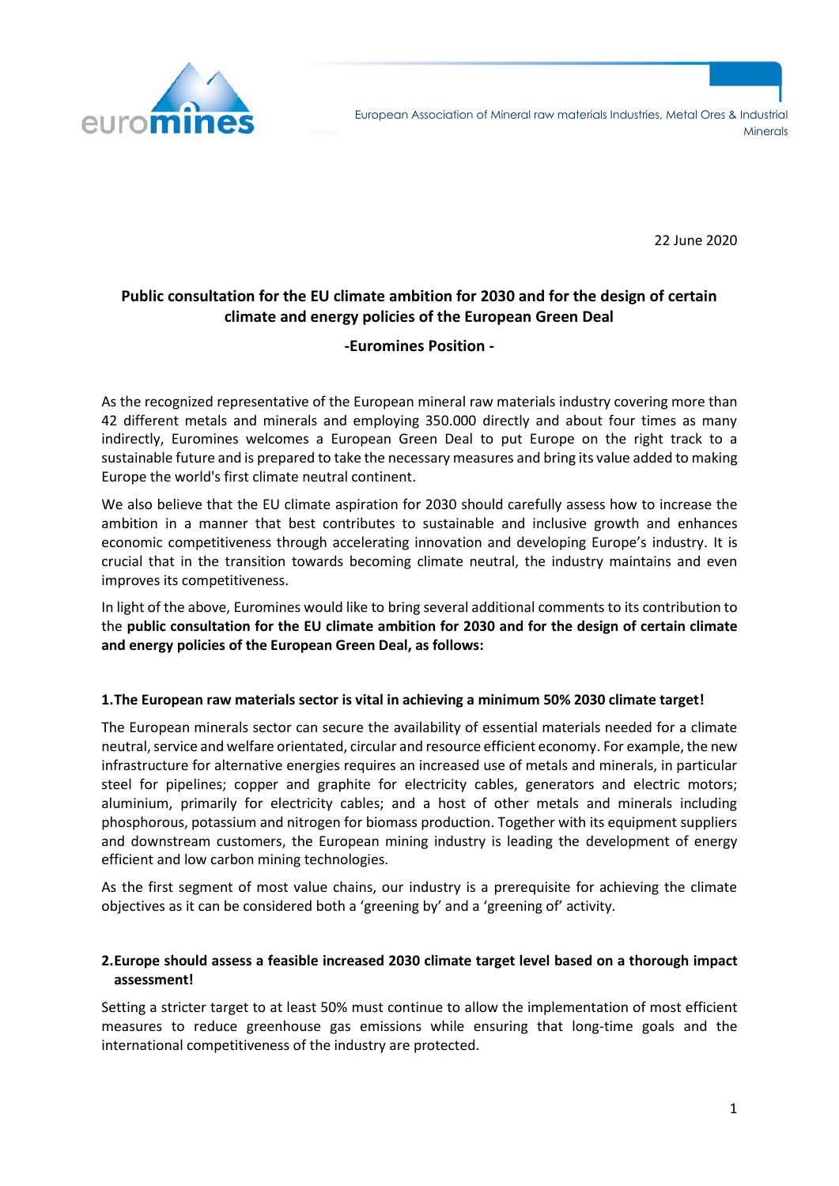

22 June 2020

# **Public consultation for the EU climate ambition for 2030 and for the design of certain climate and energy policies of the European Green Deal**

# **-Euromines Position -**

As the recognized representative of the European mineral raw materials industry covering more than 42 different metals and minerals and employing 350.000 directly and about four times as many indirectly, Euromines welcomes a European Green Deal to put Europe on the right track to a sustainable future and is prepared to take the necessary measures and bring its value added to making Europe the world's first climate neutral continent.

We also believe that the EU climate aspiration for 2030 should carefully assess how to increase the ambition in a manner that best contributes to sustainable and inclusive growth and enhances economic competitiveness through accelerating innovation and developing Europe's industry. It is crucial that in the transition towards becoming climate neutral, the industry maintains and even improves its competitiveness.

In light of the above, Euromines would like to bring several additional comments to its contribution to the **public consultation for the EU climate ambition for 2030 and for the design of certain climate and energy policies of the European Green Deal, as follows:**

# **1.The European raw materials sector is vital in achieving a minimum 50% 2030 climate target!**

The European minerals sector can secure the availability of essential materials needed for a climate neutral, service and welfare orientated, circular and resource efficient economy. For example, the new infrastructure for alternative energies requires an increased use of metals and minerals, in particular steel for pipelines; copper and graphite for electricity cables, generators and electric motors; aluminium, primarily for electricity cables; and a host of other metals and minerals including phosphorous, potassium and nitrogen for biomass production. Together with its equipment suppliers and downstream customers, the European mining industry is leading the development of energy efficient and low carbon mining technologies.

As the first segment of most value chains, our industry is a prerequisite for achieving the climate objectives as it can be considered both a 'greening by' and a 'greening of' activity.

#### **2.Europe should assess a feasible increased 2030 climate target level based on a thorough impact assessment!**

Setting a stricter target to at least 50% must continue to allow the implementation of most efficient measures to reduce greenhouse gas emissions while ensuring that long-time goals and the international competitiveness of the industry are protected.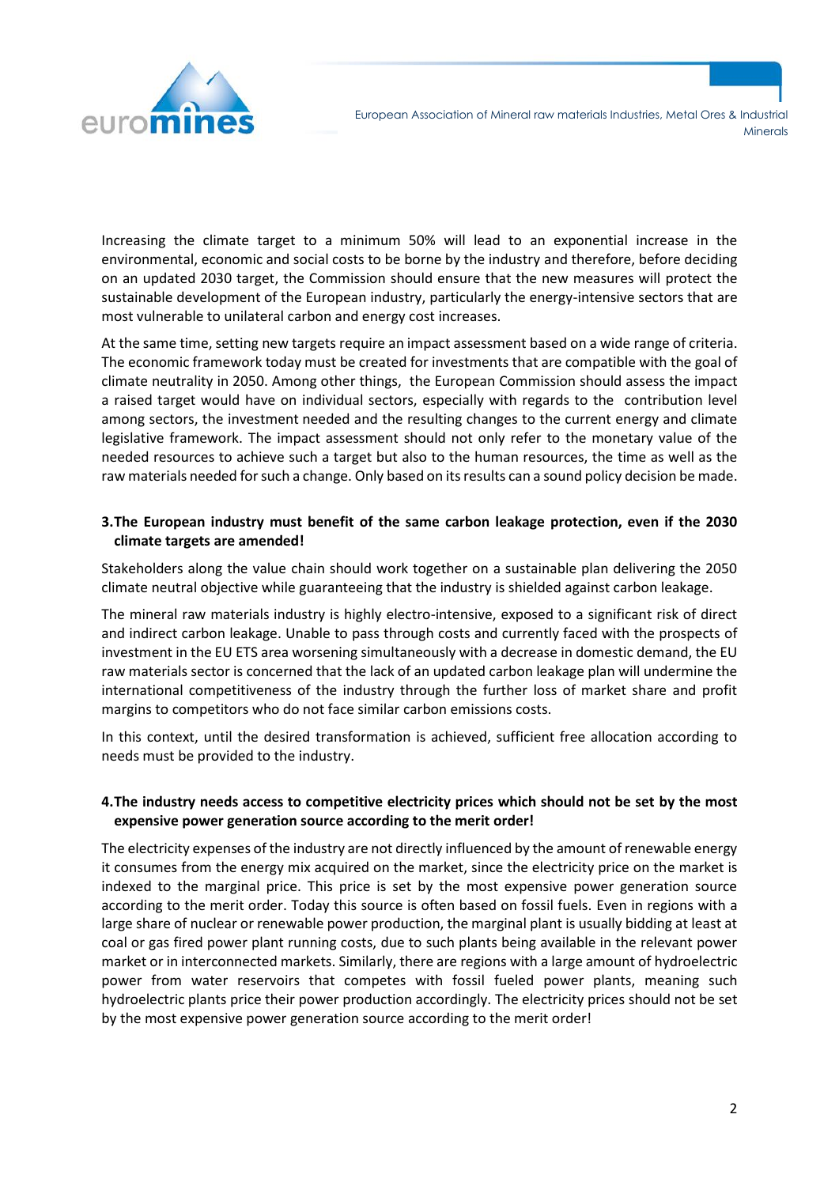

European Association of Mineral raw materials Industries, Metal Ores & Industrial Minerals

Increasing the climate target to a minimum 50% will lead to an exponential increase in the environmental, economic and social costs to be borne by the industry and therefore, before deciding on an updated 2030 target, the Commission should ensure that the new measures will protect the sustainable development of the European industry, particularly the energy-intensive sectors that are most vulnerable to unilateral carbon and energy cost increases.

At the same time, setting new targets require an impact assessment based on a wide range of criteria. The economic framework today must be created for investments that are compatible with the goal of climate neutrality in 2050. Among other things, the European Commission should assess the impact a raised target would have on individual sectors, especially with regards to the contribution level among sectors, the investment needed and the resulting changes to the current energy and climate legislative framework. The impact assessment should not only refer to the monetary value of the needed resources to achieve such a target but also to the human resources, the time as well as the raw materials needed for such a change. Only based on its results can a sound policy decision be made.

### **3.The European industry must benefit of the same carbon leakage protection, even if the 2030 climate targets are amended!**

Stakeholders along the value chain should work together on a sustainable plan delivering the 2050 climate neutral objective while guaranteeing that the industry is shielded against carbon leakage.

The mineral raw materials industry is highly electro-intensive, exposed to a significant risk of direct and indirect carbon leakage. Unable to pass through costs and currently faced with the prospects of investment in the EU ETS area worsening simultaneously with a decrease in domestic demand, the EU raw materials sector is concerned that the lack of an updated carbon leakage plan will undermine the international competitiveness of the industry through the further loss of market share and profit margins to competitors who do not face similar carbon emissions costs.

In this context, until the desired transformation is achieved, sufficient free allocation according to needs must be provided to the industry.

# **4.The industry needs access to competitive electricity prices which should not be set by the most expensive power generation source according to the merit order!**

The electricity expenses of the industry are not directly influenced by the amount of renewable energy it consumes from the energy mix acquired on the market, since the electricity price on the market is indexed to the marginal price. This price is set by the most expensive power generation source according to the merit order. Today this source is often based on fossil fuels. Even in regions with a large share of nuclear or renewable power production, the marginal plant is usually bidding at least at coal or gas fired power plant running costs, due to such plants being available in the relevant power market or in interconnected markets. Similarly, there are regions with a large amount of hydroelectric power from water reservoirs that competes with fossil fueled power plants, meaning such hydroelectric plants price their power production accordingly. The electricity prices should not be set by the most expensive power generation source according to the merit order!